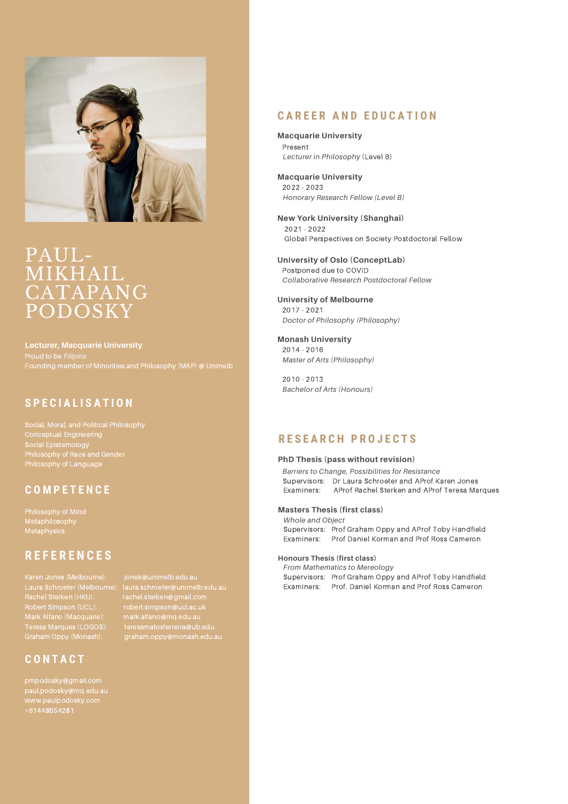

## PAUL- MIKHAIL CATAPANG PODOSKY

**Lecturer, Macquarie University** Proud to be *Filipinx*

#### **S P E C I A L I S A T I O N**

Conceptual Engineering Social Epistemology Philosophy of Race and Gender

#### **C O M P E T E N C E**

### **R E F E R E N C E S**

Karen Jones (Melbourne): jonek@unimelb.edu.au Rachel Sterken (HKU): rachel.sterken@gmail.com Teresa Marques (LOGOS): teresamatosferreira@ub.edu Graham Oppy (Monash): graham.oppy@monash.edu.au

**C O N T A C T**

pmpodosky@gmail.com paul.podosky@mq.edu.au www.paulpodosky.com +61448654281

# Laura Schroeter (Melbourne): laura.schroeter@unimelb.edu.au

#### **C A R E E R A N D E D U C A T I O N**

**Macquarie University** Present *Lecturer in Philosophy* (Level B)

**Macquarie University** 2022 - 2023 *Honorary Research Fellow (Level B)*

**New York University (Shanghai)** 2021 - 2022 Global Perspectives on Society Postdoctoral Fellow

**University of Oslo (ConceptLab)** Postponed due to COVID *Collaborative Research Postdoctoral Fellow*

**University of Melbourne** 2017 - 2021 *Doctor of Philosophy (Philosophy)*

**Monash University** 2014 - 2016 *Master of Arts (Philosophy)*

2010 - 2013 *Bachelor of Arts (Honours)*

#### **R E S E A R C H P R O J E C T S**

#### **PhD Thesis (pass without revision)**

*Barriers to Change, Possibilities for Resistance* Supervisors: Dr Laura Schroeter and AProf Karen Jones Examiners: AProf Rachel Sterken and AProf Teresa Marques

#### **Masters Thesis (first class)**

*Whole and Object* Supervisors: Prof Graham Oppy and AProf Toby Handfield Examiners: Prof Daniel Korman and Prof Ross Cameron

#### **Honours Thesis (first class)**

*From Mathematics to Mereology* Supervisors: Prof Graham Oppy and AProf Toby Handfield Examiners: Prof. Daniel Korman and Prof Ross Cameron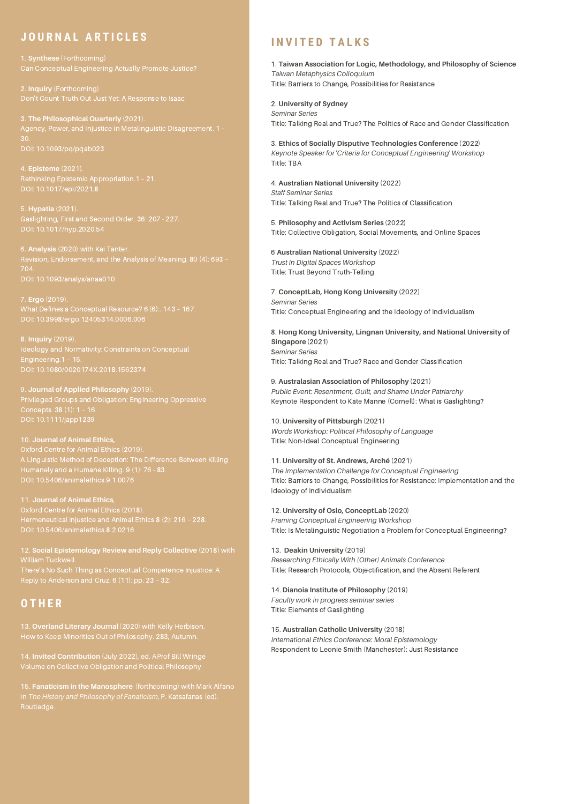### **J O U R N A L A R T I C L E S**

4. **Episteme** (2021). Rethinking Epistemic Appropriation.1 – 21.

5. **Hypatia** (2021).

6. **Analysis** (2020) with Kai Tanter.

7. **Ergo** (2019).

DOI: 10.1080/0020174X.2018.1562374

9. **Journal of Applied Philosophy** (2019). Privileged Groups and Obligation: Engineering Oppressive

## Oxford Centre for Animal Ethics (2019). A Linguistic Method of Deception: The Difference Between Killing Humanely and a Humane Killing. 9 (1): 76 - 83.

Oxford Centre for Animal Ethics (2018). Hermeneutical Injustice and Animal Ethics 8 (2): 216 – 228. DOI: 10.5406/animalethics.8.2.0216

12. **Social Epistemology Review and Reply Collective** (2018) with

### **O T H E R**

13. **Overland Literary Journal** (2020) with Kelly Herbison.

14. **Invited Contribution** (July 2022), ed. AProf Bill Wringe

15. **Fanaticism in the Manosphere** (forthcoming) with Mark Alfano Routledge.

#### **I N V I T E D T A L K S**

1. **Taiwan Association for Logic, Methodology, and Philosophy of Science** *Taiwan Metaphysics Colloquium* Title: Barriers to Change, Possibilities for Resistance

2. **University of Sydney** *Seminar Series* Title: Talking Real and True? The Politics of Race and Gender Classification

3. **Ethics of Socially Disputive Technologies Conference** (2022) *Keynote Speaker for 'Criteria for Conceptual Engineering' Workshop* Title: TBA

4. **Australian National University** (2022) *Staff Seminar Series* Title: Talking Real and True? The Politics of Classification

5. **Philosophy and Activism Series** (2022) Title: Collective Obligation, Social Movements, and Online Spaces

6 **Australian National University** (2022) *Trust in Digital Spaces Workshop* Title: Trust Beyond Truth-Telling

7. **ConceptLab, Hong Kong University** (2022) *Seminar Series* Title: Conceptual Engineering and the Ideology of Individualism

8. **Hong Kong University, Lingnan University, and National University of Singapore** (2021) S*eminar Series* Title: Talking Real and True? Race and Gender Classification

9. **Australasian Association of Philosophy** (2021) *Public Event: Resentment, Guilt, and Shame Under Patriarchy* Keynote Respondent to Kate Manne (Cornell): What is Gaslighting?

10. **University of Pittsburgh** (2021**)** *Words Workshop: Political Philosophy of Language* Title: Non-Ideal Conceptual Engineering

11. **University of St. Andrews, Arché** (2021) *The Implementation Challenge for Conceptual Engineering* Title: Barriers to Change, Possibilities for Resistance: Implementation and the Ideology of Individualism

12. **University of Oslo, ConceptLab** (2020) *Framing Conceptual Engineering Workshop* Title: Is Metalinguistic Negotiation a Problem for Conceptual Engineering?

13. **Deakin University** (2019) *Researching Ethically With (Other) Animals Conference* Title: Research Protocols, Objectification, and the Absent Referent

14. **Dianoia Institute of Philosophy** (2019) *Faculty work in progress seminar series* Title: Elements of Gaslighting

15. **Australian Catholic University** (2018) *International Ethics Conference: Moral Epistemology* Respondent to Leonie Smith (Manchester): Just Resistance